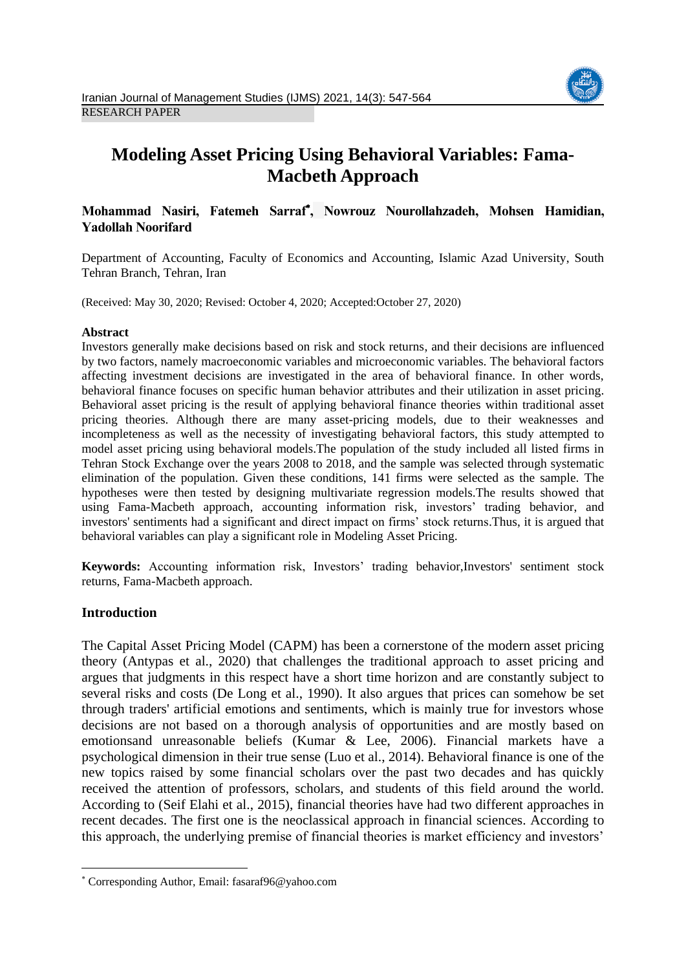

# **Modeling Asset Pricing Using Behavioral Variables: Fama-Macbeth Approach**

# **Mohammad Nasiri, Fatemeh Sarraf , Nowrouz Nourollahzadeh, Mohsen Hamidian, Yadollah Noorifard**

Department of Accounting, Faculty of Economics and Accounting, Islamic Azad University, South Tehran Branch, Tehran, Iran

(Received: May 30, 2020; Revised: October 4, 2020; Accepted:October 27, 2020)

## **Abstract**

Investors generally make decisions based on risk and stock returns, and their decisions are influenced by two factors, namely macroeconomic variables and microeconomic variables. The behavioral factors affecting investment decisions are investigated in the area of behavioral finance. In other words, behavioral finance focuses on specific human behavior attributes and their utilization in asset pricing. Behavioral asset pricing is the result of applying behavioral finance theories within traditional asset pricing theories. Although there are many asset-pricing models, due to their weaknesses and incompleteness as well as the necessity of investigating behavioral factors, this study attempted to model asset pricing using behavioral models.The population of the study included all listed firms in Tehran Stock Exchange over the years 2008 to 2018, and the sample was selected through systematic elimination of the population. Given these conditions, 141 firms were selected as the sample. The hypotheses were then tested by designing multivariate regression models.The results showed that using Fama-Macbeth approach, accounting information risk, investors' trading behavior, and investors' sentiments had a significant and direct impact on firms' stock returns.Thus, it is argued that behavioral variables can play a significant role in Modeling Asset Pricing.

**Keywords:** Accounting information risk, Investors' trading behavior,Investors' sentiment stock returns, Fama-Macbeth approach.

# **Introduction**

1

The Capital Asset Pricing Model (CAPM) has been a cornerstone of the modern asset pricing theory (Antypas et al., 2020) that challenges the traditional approach to asset pricing and argues that judgments in this respect have a short time horizon and are constantly subject to several risks and costs (De Long et al., 1990). It also argues that prices can somehow be set through traders' artificial emotions and sentiments, which is mainly true for investors whose decisions are not based on a thorough analysis of opportunities and are mostly based on emotionsand unreasonable beliefs (Kumar & Lee, 2006). Financial markets have a psychological dimension in their true sense (Luo et al., 2014). Behavioral finance is one of the new topics raised by some financial scholars over the past two decades and has quickly received the attention of professors, scholars, and students of this field around the world. According to (Seif Elahi et al., 2015), financial theories have had two different approaches in recent decades. The first one is the neoclassical approach in financial sciences. According to this approach, the underlying premise of financial theories is market efficiency and investors'

Corresponding Author, Email: fasaraf96@yahoo.com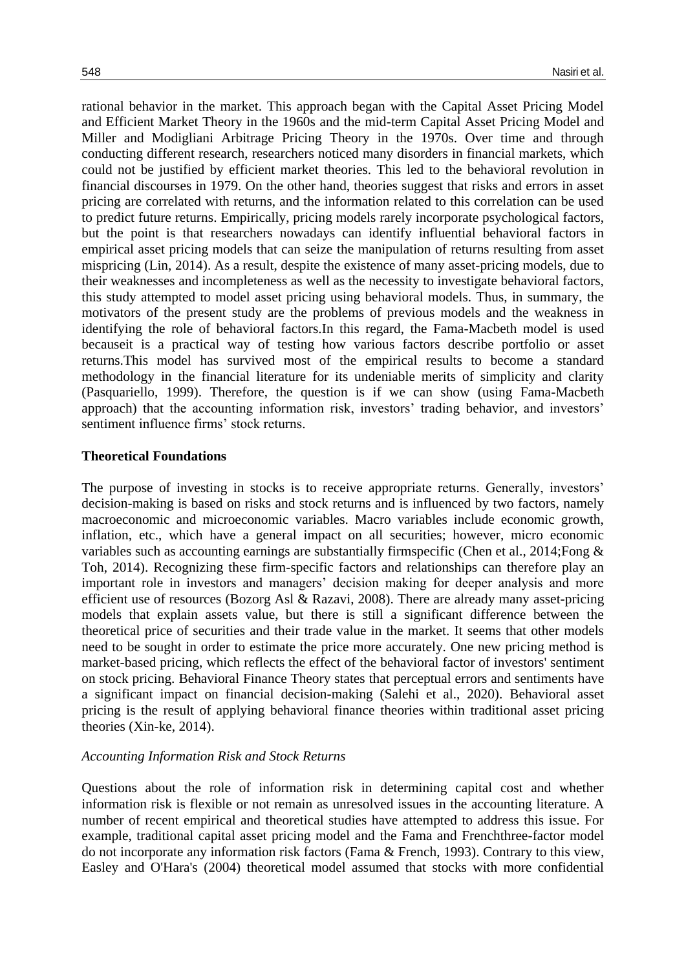rational behavior in the market. This approach began with the Capital Asset Pricing Model and Efficient Market Theory in the 1960s and the mid-term Capital Asset Pricing Model and Miller and Modigliani Arbitrage Pricing Theory in the 1970s. Over time and through conducting different research, researchers noticed many disorders in financial markets, which could not be justified by efficient market theories. This led to the behavioral revolution in financial discourses in 1979. On the other hand, theories suggest that risks and errors in asset pricing are correlated with returns, and the information related to this correlation can be used to predict future returns. Empirically, pricing models rarely incorporate psychological factors, but the point is that researchers nowadays can identify influential behavioral factors in empirical asset pricing models that can seize the manipulation of returns resulting from asset mispricing (Lin, 2014). As a result, despite the existence of many asset-pricing models, due to their weaknesses and incompleteness as well as the necessity to investigate behavioral factors, this study attempted to model asset pricing using behavioral models. Thus, in summary, the motivators of the present study are the problems of previous models and the weakness in identifying the role of behavioral factors.In this regard, the Fama-Macbeth model is used becauseit is a practical way of testing how various factors describe portfolio or asset returns.This model has survived most of the empirical results to become a standard methodology in the financial literature for its undeniable merits of simplicity and clarity (Pasquariello, 1999). Therefore, the question is if we can show (using Fama-Macbeth approach) that the accounting information risk, investors' trading behavior, and investors' sentiment influence firms' stock returns.

## **Theoretical Foundations**

The purpose of investing in stocks is to receive appropriate returns. Generally, investors' decision-making is based on risks and stock returns and is influenced by two factors, namely macroeconomic and microeconomic variables. Macro variables include economic growth, inflation, etc., which have a general impact on all securities; however, micro economic variables such as accounting earnings are substantially firmspecific (Chen et al., 2014;Fong & Toh, 2014). Recognizing these firm-specific factors and relationships can therefore play an important role in investors and managers' decision making for deeper analysis and more efficient use of resources (Bozorg Asl & Razavi, 2008). There are already many asset-pricing models that explain assets value, but there is still a significant difference between the theoretical price of securities and their trade value in the market. It seems that other models need to be sought in order to estimate the price more accurately. One new pricing method is market-based pricing, which reflects the effect of the behavioral factor of investors' sentiment on stock pricing. Behavioral Finance Theory states that perceptual errors and sentiments have a significant impact on financial decision-making (Salehi et al., 2020). Behavioral asset pricing is the result of applying behavioral finance theories within traditional asset pricing theories (Xin-ke, 2014).

#### *Accounting Information Risk and Stock Returns*

Questions about the role of information risk in determining capital cost and whether information risk is flexible or not remain as unresolved issues in the accounting literature. A number of recent empirical and theoretical studies have attempted to address this issue. For example, traditional capital asset pricing model and the Fama and Frenchthree-factor model do not incorporate any information risk factors (Fama & French, 1993). Contrary to this view, Easley and O'Hara's (2004) theoretical model assumed that stocks with more confidential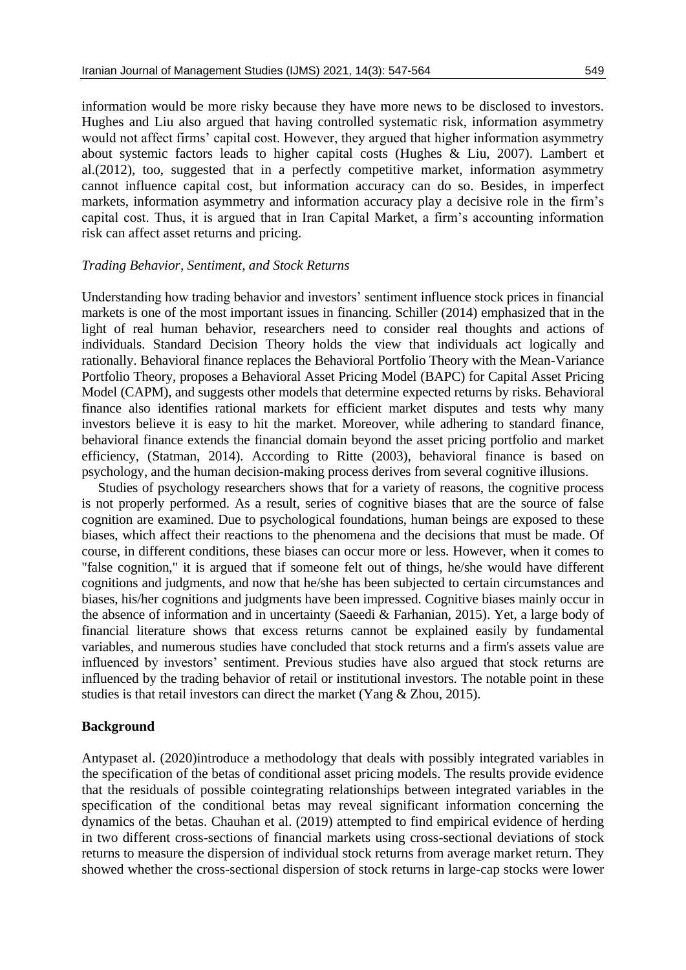information would be more risky because they have more news to be disclosed to investors. Hughes and Liu also argued that having controlled systematic risk, information asymmetry would not affect firms' capital cost. However, they argued that higher information asymmetry about systemic factors leads to higher capital costs (Hughes & Liu, 2007). Lambert et al.(2012), too, suggested that in a perfectly competitive market, information asymmetry cannot influence capital cost, but information accuracy can do so. Besides, in imperfect markets, information asymmetry and information accuracy play a decisive role in the firm's capital cost. Thus, it is argued that in Iran Capital Market, a firm's accounting information risk can affect asset returns and pricing.

# *Trading Behavior, Sentiment, and Stock Returns*

Understanding how trading behavior and investors' sentiment influence stock prices in financial markets is one of the most important issues in financing. Schiller (2014) emphasized that in the light of real human behavior, researchers need to consider real thoughts and actions of individuals. Standard Decision Theory holds the view that individuals act logically and rationally. Behavioral finance replaces the Behavioral Portfolio Theory with the Mean-Variance Portfolio Theory, proposes a Behavioral Asset Pricing Model (BAPC) for Capital Asset Pricing Model (CAPM), and suggests other models that determine expected returns by risks. Behavioral finance also identifies rational markets for efficient market disputes and tests why many investors believe it is easy to hit the market. Moreover, while adhering to standard finance, behavioral finance extends the financial domain beyond the asset pricing portfolio and market efficiency, (Statman, 2014). According to Ritte (2003), behavioral finance is based on psychology, and the human decision-making process derives from several cognitive illusions.

Studies of psychology researchers shows that for a variety of reasons, the cognitive process is not properly performed. As a result, series of cognitive biases that are the source of false cognition are examined. Due to psychological foundations, human beings are exposed to these biases, which affect their reactions to the phenomena and the decisions that must be made. Of course, in different conditions, these biases can occur more or less. However, when it comes to "false cognition," it is argued that if someone felt out of things, he/she would have different cognitions and judgments, and now that he/she has been subjected to certain circumstances and biases, his/her cognitions and judgments have been impressed. Cognitive biases mainly occur in the absence of information and in uncertainty (Saeedi & Farhanian, 2015). Yet, a large body of financial literature shows that excess returns cannot be explained easily by fundamental variables, and numerous studies have concluded that stock returns and a firm's assets value are influenced by investors' sentiment. Previous studies have also argued that stock returns are influenced by the trading behavior of retail or institutional investors. The notable point in these studies is that retail investors can direct the market (Yang & Zhou, 2015).

# **Background**

Antypaset al. (2020)introduce a methodology that deals with possibly integrated variables in the specification of the betas of conditional asset pricing models. The results provide evidence that the residuals of possible cointegrating relationships between integrated variables in the specification of the conditional betas may reveal significant information concerning the dynamics of the betas. Chauhan et al. (2019) attempted to find empirical evidence of herding in two different cross-sections of financial markets using cross-sectional deviations of stock returns to measure the dispersion of individual stock returns from average market return. They showed whether the cross-sectional dispersion of stock returns in large-cap stocks were lower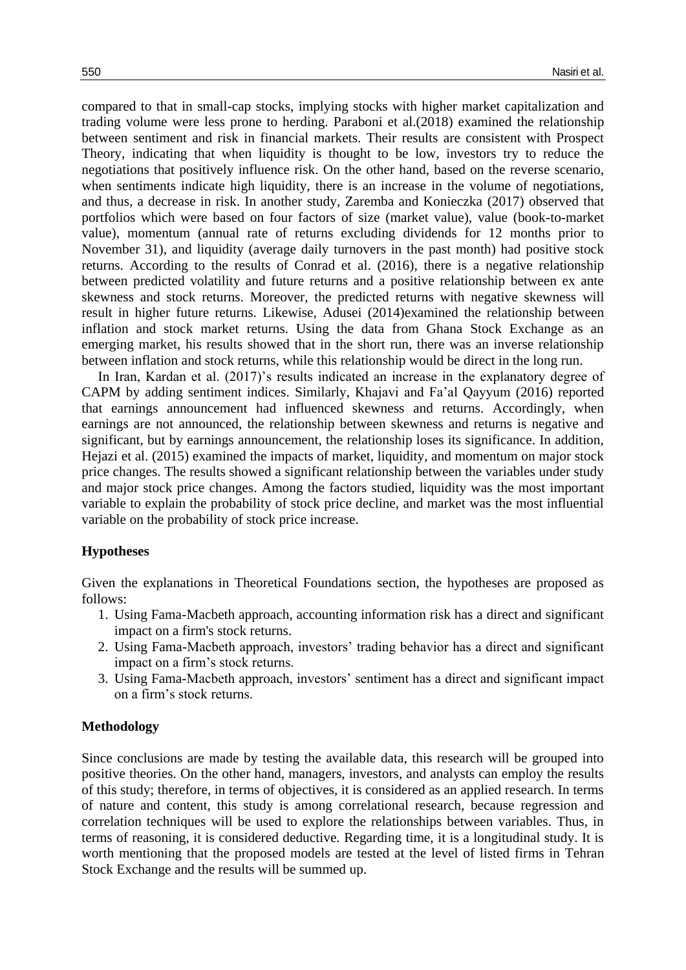compared to that in small-cap stocks, implying stocks with higher market capitalization and trading volume were less prone to herding. Paraboni et al.(2018) examined the relationship between sentiment and risk in financial markets. Their results are consistent with Prospect Theory, indicating that when liquidity is thought to be low, investors try to reduce the negotiations that positively influence risk. On the other hand, based on the reverse scenario, when sentiments indicate high liquidity, there is an increase in the volume of negotiations, and thus, a decrease in risk. In another study, Zaremba and Konieczka (2017) observed that portfolios which were based on four factors of size (market value), value (book-to-market value), momentum (annual rate of returns excluding dividends for 12 months prior to November 31), and liquidity (average daily turnovers in the past month) had positive stock returns. According to the results of Conrad et al. (2016), there is a negative relationship between predicted volatility and future returns and a positive relationship between ex ante skewness and stock returns. Moreover, the predicted returns with negative skewness will result in higher future returns. Likewise, Adusei (2014)examined the relationship between inflation and stock market returns. Using the data from Ghana Stock Exchange as an emerging market, his results showed that in the short run, there was an inverse relationship between inflation and stock returns, while this relationship would be direct in the long run.

In Iran, Kardan et al. (2017)'s results indicated an increase in the explanatory degree of CAPM by adding sentiment indices. Similarly, Khajavi and Fa'al Qayyum (2016) reported that earnings announcement had influenced skewness and returns. Accordingly, when earnings are not announced, the relationship between skewness and returns is negative and significant, but by earnings announcement, the relationship loses its significance. In addition, Hejazi et al. (2015) examined the impacts of market, liquidity, and momentum on major stock price changes. The results showed a significant relationship between the variables under study and major stock price changes. Among the factors studied, liquidity was the most important variable to explain the probability of stock price decline, and market was the most influential variable on the probability of stock price increase.

# **Hypotheses**

Given the explanations in Theoretical Foundations section, the hypotheses are proposed as follows:

- 1. Using Fama-Macbeth approach, accounting information risk has a direct and significant impact on a firm's stock returns.
- 2. Using Fama-Macbeth approach, investors' trading behavior has a direct and significant impact on a firm's stock returns.
- 3. Using Fama-Macbeth approach, investors' sentiment has a direct and significant impact on a firm's stock returns.

#### **Methodology**

Since conclusions are made by testing the available data, this research will be grouped into positive theories. On the other hand, managers, investors, and analysts can employ the results of this study; therefore, in terms of objectives, it is considered as an applied research. In terms of nature and content, this study is among correlational research, because regression and correlation techniques will be used to explore the relationships between variables. Thus, in terms of reasoning, it is considered deductive. Regarding time, it is a longitudinal study. It is worth mentioning that the proposed models are tested at the level of listed firms in Tehran Stock Exchange and the results will be summed up.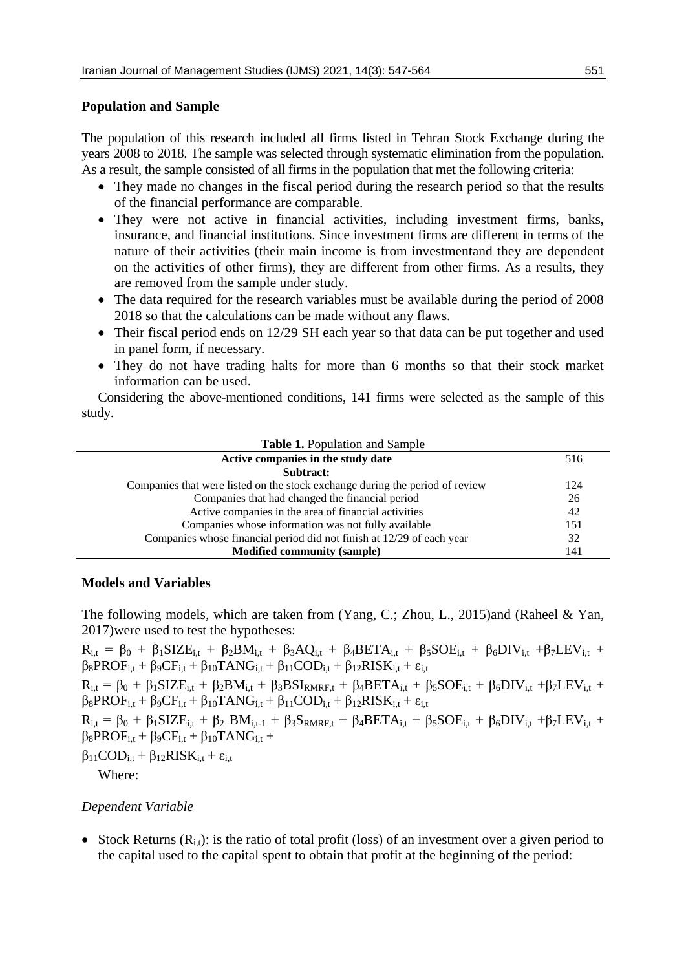## **Population and Sample**

The population of this research included all firms listed in Tehran Stock Exchange during the years 2008 to 2018. The sample was selected through systematic elimination from the population. As a result, the sample consisted of all firms in the population that met the following criteria:

- They made no changes in the fiscal period during the research period so that the results of the financial performance are comparable.
- They were not active in financial activities, including investment firms, banks, insurance, and financial institutions. Since investment firms are different in terms of the nature of their activities (their main income is from investmentand they are dependent on the activities of other firms), they are different from other firms. As a results, they are removed from the sample under study.
- The data required for the research variables must be available during the period of 2008 2018 so that the calculations can be made without any flaws.
- Their fiscal period ends on 12/29 SH each year so that data can be put together and used in panel form, if necessary.
- They do not have trading halts for more than 6 months so that their stock market information can be used.

Considering the above-mentioned conditions, 141 firms were selected as the sample of this study.

| <b>Table 1. Population and Sample</b>                                        |     |  |  |  |
|------------------------------------------------------------------------------|-----|--|--|--|
| Active companies in the study date                                           | 516 |  |  |  |
| Subtract:                                                                    |     |  |  |  |
| Companies that were listed on the stock exchange during the period of review | 124 |  |  |  |
| Companies that had changed the financial period                              | 26  |  |  |  |
| Active companies in the area of financial activities                         | 42  |  |  |  |
| Companies whose information was not fully available                          | 151 |  |  |  |
| Companies whose financial period did not finish at 12/29 of each year        | 32  |  |  |  |
| <b>Modified community (sample)</b>                                           | 141 |  |  |  |

#### **Models and Variables**

The following models, which are taken from (Yang, C.; Zhou, L., 2015)and (Raheel & Yan, 2017)were used to test the hypotheses:

 $R_{i,t} = \beta_0 + \beta_1 SIZE_{i,t} + \beta_2 BM_{i,t} + \beta_3 AQ_{i,t} + \beta_4 BETA_{i,t} + \beta_5 SOE_{i,t} + \beta_6 DIV_{i,t} + \beta_7 LEV_{i,t}$  $\beta_8 PROF_{i,t} + \beta_9 CF_{i,t} + \beta_{10} T ANG_{i,t} + \beta_{11} COD_{i,t} + \beta_{12} RISK_{i,t} + \varepsilon_{i,t}$  $R_{i,t} = \beta_0 + \beta_1 SIZE_{i,t} + \beta_2 BM_{i,t} + \beta_3 BSI_{RMRF,t} + \beta_4 BETA_{i,t} + \beta_5 SOE_{i,t} + \beta_6 DIV_{i,t} + \beta_7 LEV_{i,t} +$  $\beta_8 PROF_{i,t} + \beta_9 CF_{i,t} + \beta_{10} T ANG_{i,t} + \beta_{11} COD_{i,t} + \beta_{12} RISK_{i,t} + \epsilon_{i,t}$  $R_{i,t} = \beta_0 + \beta_1 SIZE_{i,t} + \beta_2 BM_{i,t-1} + \beta_3 S_{RMRF,t} + \beta_4 BETA_{i,t} + \beta_5 SOE_{i,t} + \beta_6 DIV_{i,t} + \beta_7 LEV_{i,t} +$  $\beta_8$ PROF<sub>i,t</sub> +  $\beta_9$ CF<sub>i,t</sub> +  $\beta_{10}$ TANG<sub>i,t</sub> +  $\beta_{11}COD_{i,t} + \beta_{12}RISK_{i,t} + \varepsilon_{i,t}$ Where:

#### *Dependent Variable*

• Stock Returns  $(R_i)$ : is the ratio of total profit (loss) of an investment over a given period to the capital used to the capital spent to obtain that profit at the beginning of the period: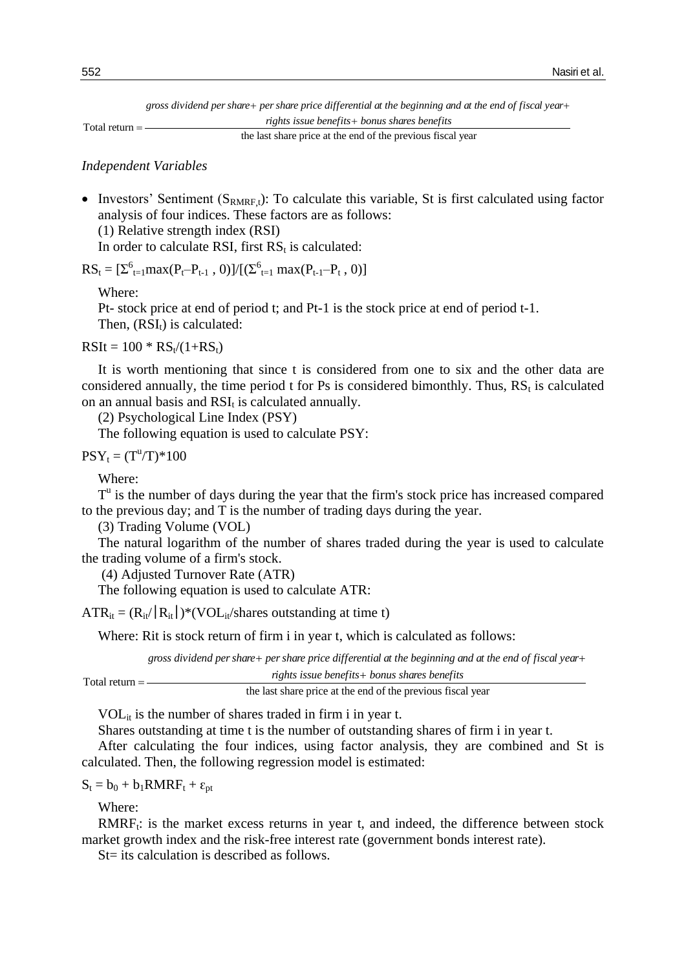Total return Nasiri et al.<br>+ per share price differential at the beginning and at the end of fiscal year+<br>rights issue benefits+ bonus shares benefits  *rights issue benefits bonus shares benefits*  gross dividend per share+ per share price differential at the beginning and at the end of fiscal year-

the last share price at the end of the previous fiscal year

### *Independent Variables*

• Investors' Sentiment  $(S_{RMRFt})$ : To calculate this variable, St is first calculated using factor analysis of four indices. These factors are as follows: (1) Relative strength index (RSI)

In order to calculate RSI, first  $RS_t$  is calculated:

 $RS_t = [\Sigma_{t=1}^6 \max(P_t - P_{t-1}, 0)]/[(\Sigma_{t=1}^6 \max(P_{t-1} - P_t, 0)]$ 

Where:

Pt- stock price at end of period t; and Pt-1 is the stock price at end of period t-1. Then,  $(RSI_t)$  is calculated:

 $RSIt = 100 * RS_t/(1+RS_t)$ 

It is worth mentioning that since t is considered from one to six and the other data are considered annually, the time period t for Ps is considered bimonthly. Thus,  $RS_t$  is calculated on an annual basis and  $RSI_t$  is calculated annually.

(2) Psychological Line Index (PSY)

The following equation is used to calculate PSY:

 $PSY_t = (T^u/T)^*100$ 

Where:

 $T<sup>u</sup>$  is the number of days during the year that the firm's stock price has increased compared to the previous day; and T is the number of trading days during the year.

(3) Trading Volume (VOL)

The natural logarithm of the number of shares traded during the year is used to calculate the trading volume of a firm's stock.

(4) Adjusted Turnover Rate (ATR)

The following equation is used to calculate ATR:

 $ATR_{it} = (R_{it} / |R_{it}|)^*(VOL_{it}/\text{ shares outstanding at time t})$ 

Where: Rit is stock return of firm i in year t, which is calculated as follows:

ed to calculate ATK.<br>
The soutstanding at time t)<br>
if firm i in year t, which is calculated as follows:<br>  $+$  *per share price differential at the beginning and at the end of fiscal year*<br>
rights issue henefits + honus shar gross dividend per share+ per share price differential at the beginning and at the end of fiscal year-

| Total return $=$ - | rights issue benefits + bonus shares benefits               |  |
|--------------------|-------------------------------------------------------------|--|
|                    | the last share price at the end of the previous fiscal year |  |

 $VOL_{it}$  is the number of shares traded in firm i in year t.

Shares outstanding at time t is the number of outstanding shares of firm i in year t.

After calculating the four indices, using factor analysis, they are combined and St is calculated. Then, the following regression model is estimated:

 $S_t = b_0 + b_1 R M R F_t + \varepsilon_{pt}$ 

Where:

 $RMRF_t$ : is the market excess returns in year t, and indeed, the difference between stock market growth index and the risk-free interest rate (government bonds interest rate).

St= its calculation is described as follows.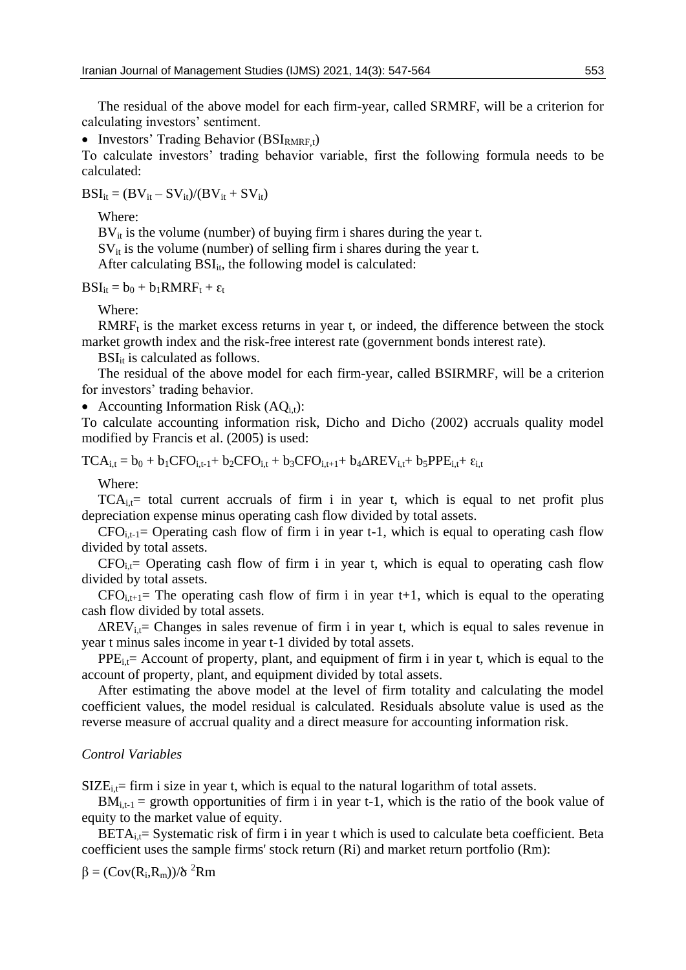The residual of the above model for each firm-year, called SRMRF, will be a criterion for calculating investors' sentiment.

• Investors' Trading Behavior  $(BSI_{RMRF,t})$ 

To calculate investors' trading behavior variable, first the following formula needs to be calculated:

 $BSI_{it} = (BV_{it} - SV_{it})/(BV_{it} + SV_{it})$ 

Where:

 $BV_{it}$  is the volume (number) of buying firm i shares during the year t.

 $SV_{it}$  is the volume (number) of selling firm i shares during the year t.

After calculating  $BSI_{it}$ , the following model is calculated:

 $BSI_{it} = b_0 + b_1 RMRF_t + \varepsilon_t$ 

Where:

 $RMRF<sub>t</sub>$  is the market excess returns in year t, or indeed, the difference between the stock market growth index and the risk-free interest rate (government bonds interest rate).

 $BSI_{it}$  is calculated as follows.

The residual of the above model for each firm-year, called BSIRMRF, will be a criterion for investors' trading behavior.

• Accounting Information Risk  $(AQ_{i,t})$ :

To calculate accounting information risk, Dicho and Dicho (2002) accruals quality model modified by Francis et al. (2005) is used:

 $TCA_{i,t} = b_0 + b_1CFO_{i,t-1} + b_2CFO_{i,t} + b_3CFO_{i,t+1} + b_4\Delta REV_{i,t} + b_5PPE_{i,t} + \epsilon_{i,t}$ 

Where:

 $TCA_{i,t}=$  total current accruals of firm i in year t, which is equal to net profit plus depreciation expense minus operating cash flow divided by total assets.

 $CFO_{i,t-1}=$  Operating cash flow of firm i in year t-1, which is equal to operating cash flow divided by total assets.

 $CFO_i =$  Operating cash flow of firm i in year t, which is equal to operating cash flow divided by total assets.

 $CFO_{i,t+1}=$  The operating cash flow of firm i in year t+1, which is equal to the operating cash flow divided by total assets.

 $\Delta$ REV<sub>it</sub>= Changes in sales revenue of firm i in year t, which is equal to sales revenue in year t minus sales income in year t-1 divided by total assets.

 $PPE_{i,t}$  Account of property, plant, and equipment of firm i in year t, which is equal to the account of property, plant, and equipment divided by total assets.

After estimating the above model at the level of firm totality and calculating the model coefficient values, the model residual is calculated. Residuals absolute value is used as the reverse measure of accrual quality and a direct measure for accounting information risk.

## *Control Variables*

 $SIZE_{i,t}$ = firm i size in year t, which is equal to the natural logarithm of total assets.

 $BM_{i,t-1}$  = growth opportunities of firm i in year t-1, which is the ratio of the book value of equity to the market value of equity.

 $BETA_{i,t}$ = Systematic risk of firm i in year t which is used to calculate beta coefficient. Beta coefficient uses the sample firms' stock return (Ri) and market return portfolio (Rm):

$$
\beta = (Cov(R_i,R_m))/\delta\ ^2Rm
$$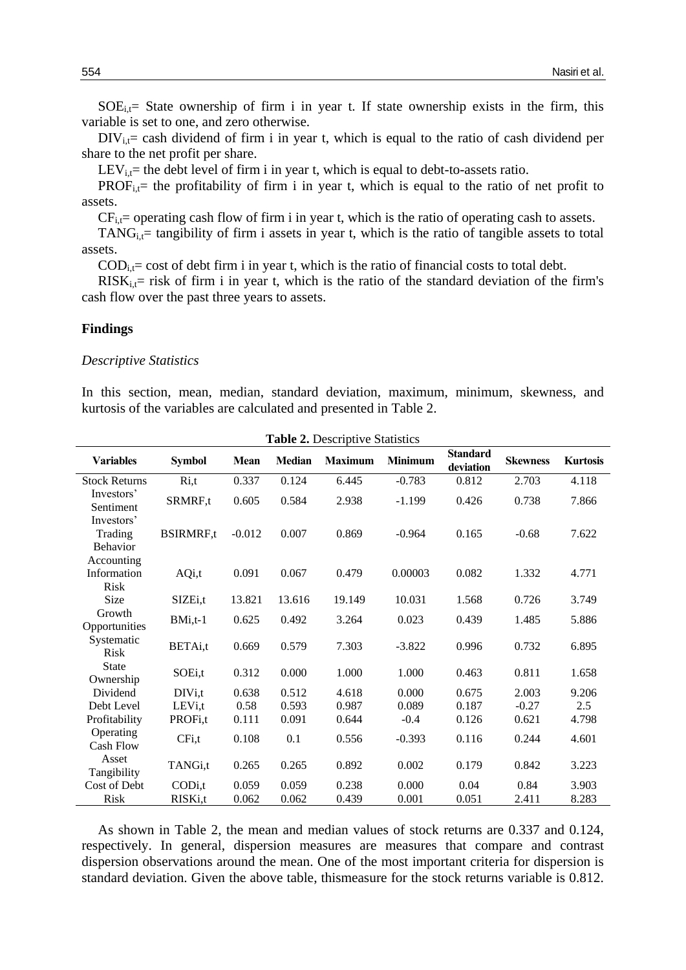$SOE<sub>i,t</sub>$  State ownership of firm i in year t. If state ownership exists in the firm, this variable is set to one, and zero otherwise.

 $DIV_{i,t}$  cash dividend of firm i in year t, which is equal to the ratio of cash dividend per share to the net profit per share.

 $LEV_{i,t}$  the debt level of firm i in year t, which is equal to debt-to-assets ratio.

 $PROF_{i,t}$ = the profitability of firm i in year t, which is equal to the ratio of net profit to assets.

 $CF_{i,t}$ = operating cash flow of firm i in year t, which is the ratio of operating cash to assets.

 $TANG_i$  = tangibility of firm i assets in year t, which is the ratio of tangible assets to total assets.

 $\text{COD}_{i,t}$  cost of debt firm i in year t, which is the ratio of financial costs to total debt.

 $RISK_{i,t}$  risk of firm i in year t, which is the ratio of the standard deviation of the firm's cash flow over the past three years to assets.

#### **Findings**

#### *Descriptive Statistics*

In this section, mean, median, standard deviation, maximum, minimum, skewness, and kurtosis of the variables are calculated and presented in Table 2.

| <b>Variables</b>                         | <b>Symbol</b>       | <b>Mean</b>    | Median         | <b>Maximum</b> | <b>Minimum</b> | <b>Standard</b><br>deviation | <b>Skewness</b> | <b>Kurtosis</b> |
|------------------------------------------|---------------------|----------------|----------------|----------------|----------------|------------------------------|-----------------|-----------------|
| <b>Stock Returns</b>                     | Ri,t                | 0.337          | 0.124          | 6.445          | $-0.783$       | 0.812                        | 2.703           | 4.118           |
| Investors'<br>Sentiment                  | SRMRF,t             | 0.605          | 0.584          | 2.938          | $-1.199$       | 0.426                        | 0.738           | 7.866           |
| Investors'<br>Trading<br><b>Behavior</b> | <b>BSIRMRF,t</b>    | $-0.012$       | 0.007          | 0.869          | $-0.964$       | 0.165                        | $-0.68$         | 7.622           |
| Accounting<br>Information<br>Risk        | AQi,t               | 0.091          | 0.067          | 0.479          | 0.00003        | 0.082                        | 1.332           | 4.771           |
| Size                                     | SIZE <sub>i,t</sub> | 13.821         | 13.616         | 19.149         | 10.031         | 1.568                        | 0.726           | 3.749           |
| Growth<br>Opportunities                  | BMi,t-1             | 0.625          | 0.492          | 3.264          | 0.023          | 0.439                        | 1.485           | 5.886           |
| Systematic<br><b>Risk</b>                | BETAi,t             | 0.669          | 0.579          | 7.303          | $-3.822$       | 0.996                        | 0.732           | 6.895           |
| <b>State</b><br>Ownership                | SOEi,t              | 0.312          | 0.000          | 1.000          | 1.000          | 0.463                        | 0.811           | 1.658           |
| Dividend                                 | DIVi,t              | 0.638          | 0.512          | 4.618          | 0.000          | 0.675                        | 2.003           | 9.206           |
| Debt Level                               | LEV <sub>i,t</sub>  | 0.58           | 0.593          | 0.987          | 0.089          | 0.187                        | $-0.27$         | 2.5             |
| Profitability                            | PROF <sub>i.t</sub> | 0.111          | 0.091          | 0.644          | $-0.4$         | 0.126                        | 0.621           | 4.798           |
| Operating<br><b>Cash Flow</b>            | CFi,t               | 0.108          | 0.1            | 0.556          | $-0.393$       | 0.116                        | 0.244           | 4.601           |
| Asset<br>Tangibility                     | TANGi,t             | 0.265          | 0.265          | 0.892          | 0.002          | 0.179                        | 0.842           | 3.223           |
| Cost of Debt<br>Risk                     | CODi,t<br>RISKi,t   | 0.059<br>0.062 | 0.059<br>0.062 | 0.238<br>0.439 | 0.000<br>0.001 | 0.04<br>0.051                | 0.84<br>2.411   | 3.903<br>8.283  |

**Table 2.** Descriptive Statistics

As shown in Table 2, the mean and median values of stock returns are 0.337 and 0.124, respectively. In general, dispersion measures are measures that compare and contrast dispersion observations around the mean. One of the most important criteria for dispersion is standard deviation. Given the above table, thismeasure for the stock returns variable is 0.812.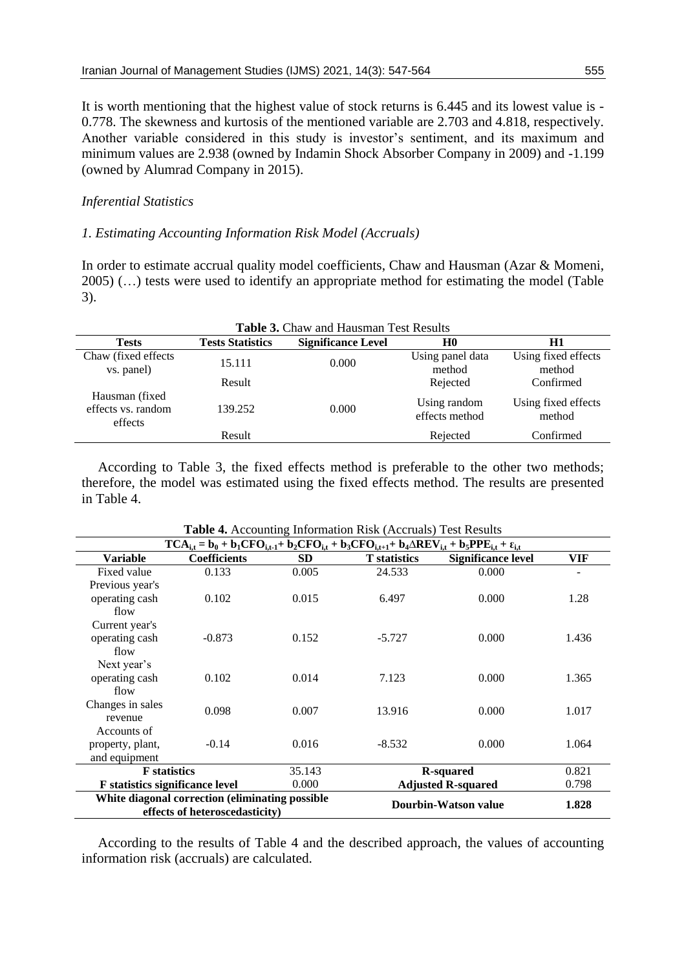It is worth mentioning that the highest value of stock returns is 6.445 and its lowest value is - 0.778. The skewness and kurtosis of the mentioned variable are 2.703 and 4.818, respectively. Another variable considered in this study is investor's sentiment, and its maximum and minimum values are 2.938 (owned by Indamin Shock Absorber Company in 2009) and -1.199 (owned by Alumrad Company in 2015).

# *Inferential Statistics*

# *1. Estimating Accounting Information Risk Model (Accruals)*

In order to estimate accrual quality model coefficients, Chaw and Hausman (Azar & Momeni, 2005) (…) tests were used to identify an appropriate method for estimating the model (Table 3).

| Table 3. Chaw and Hausman Test Results           |                         |                           |                                |                               |  |
|--------------------------------------------------|-------------------------|---------------------------|--------------------------------|-------------------------------|--|
| <b>Tests</b>                                     | <b>Tests Statistics</b> | <b>Significance Level</b> | H <sub>0</sub>                 | H1                            |  |
| Chaw (fixed effects<br>vs. panel)                | 15.111                  | 0.000                     | Using panel data<br>method     | Using fixed effects<br>method |  |
|                                                  | Result                  |                           | Rejected                       | Confirmed                     |  |
| Hausman (fixed)<br>effects vs. random<br>effects | 139.252                 | 0.000                     | Using random<br>effects method | Using fixed effects<br>method |  |
|                                                  | Result                  |                           | Rejected                       | Confirmed                     |  |

According to Table 3, the fixed effects method is preferable to the other two methods; therefore, the model was estimated using the fixed effects method. The results are presented in Table 4.

|                                                                                   | $TCA_{i,t} = b_0 + b_1 CFO_{i,t-1} + b_2 CFO_{i,t} + b_3 CFO_{i,t+1} + b_4 \triangle REV_{i,t} + b_5 PPE_{i,t} + \varepsilon_{i,t}$ |           |                      |                           |       |  |  |
|-----------------------------------------------------------------------------------|-------------------------------------------------------------------------------------------------------------------------------------|-----------|----------------------|---------------------------|-------|--|--|
| <b>Variable</b>                                                                   | <b>Coefficients</b>                                                                                                                 | <b>SD</b> | <b>T</b> statistics  | <b>Significance level</b> | VIF   |  |  |
| Fixed value                                                                       | 0.133                                                                                                                               | 0.005     | 24.533               | 0.000                     |       |  |  |
| Previous year's                                                                   |                                                                                                                                     |           |                      |                           |       |  |  |
| operating cash                                                                    | 0.102                                                                                                                               | 0.015     | 6.497                | 0.000                     | 1.28  |  |  |
| flow                                                                              |                                                                                                                                     |           |                      |                           |       |  |  |
| Current year's                                                                    |                                                                                                                                     |           |                      |                           |       |  |  |
| operating cash                                                                    | $-0.873$                                                                                                                            | 0.152     | $-5.727$             | 0.000                     | 1.436 |  |  |
| flow                                                                              |                                                                                                                                     |           |                      |                           |       |  |  |
| Next year's                                                                       |                                                                                                                                     |           |                      |                           |       |  |  |
| operating cash                                                                    | 0.102                                                                                                                               | 0.014     | 7.123                | 0.000                     | 1.365 |  |  |
| flow                                                                              |                                                                                                                                     |           |                      |                           |       |  |  |
| Changes in sales                                                                  | 0.098                                                                                                                               | 0.007     | 13.916               | 0.000                     | 1.017 |  |  |
| revenue                                                                           |                                                                                                                                     |           |                      |                           |       |  |  |
| Accounts of                                                                       |                                                                                                                                     |           |                      |                           |       |  |  |
| property, plant,                                                                  | $-0.14$                                                                                                                             | 0.016     | $-8.532$             | 0.000                     | 1.064 |  |  |
| and equipment                                                                     |                                                                                                                                     |           |                      |                           |       |  |  |
| 35.143<br><b>F</b> statistics                                                     |                                                                                                                                     |           | <b>R-squared</b>     | 0.821                     |       |  |  |
|                                                                                   | 0.000<br><b>F</b> statistics significance level                                                                                     |           |                      | <b>Adjusted R-squared</b> | 0.798 |  |  |
| White diagonal correction (eliminating possible<br>effects of heteroscedasticity) |                                                                                                                                     |           | Dourbin-Watson value | 1.828                     |       |  |  |

**Table 4.** Accounting Information Risk (Accruals) Test Results

According to the results of Table 4 and the described approach, the values of accounting information risk (accruals) are calculated.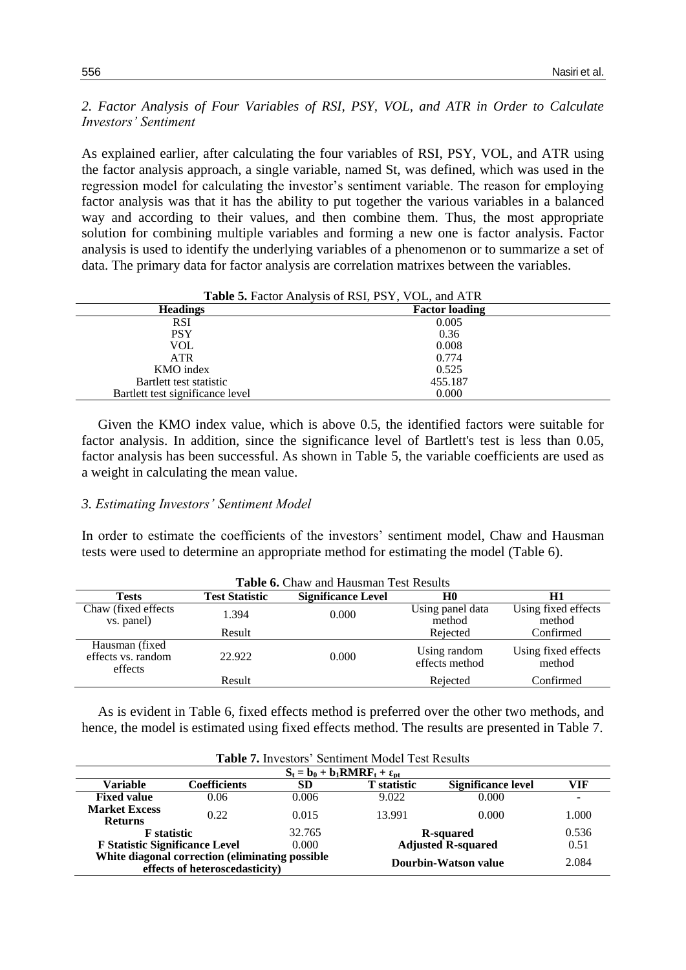*2. Factor Analysis of Four Variables of RSI, PSY, VOL, and ATR in Order to Calculate Investors' Sentiment*

As explained earlier, after calculating the four variables of RSI, PSY, VOL, and ATR using the factor analysis approach, a single variable, named St, was defined, which was used in the regression model for calculating the investor's sentiment variable. The reason for employing factor analysis was that it has the ability to put together the various variables in a balanced way and according to their values, and then combine them. Thus, the most appropriate solution for combining multiple variables and forming a new one is factor analysis. Factor analysis is used to identify the underlying variables of a phenomenon or to summarize a set of data. The primary data for factor analysis are correlation matrixes between the variables.

|                                  | Table 5. Factor Analysis of RSI, PSY, VOL, and ATR |
|----------------------------------|----------------------------------------------------|
| <b>Headings</b>                  | <b>Factor loading</b>                              |
| <b>RSI</b>                       | 0.005                                              |
| <b>PSY</b>                       | 0.36                                               |
| VOL                              | 0.008                                              |
| <b>ATR</b>                       | 0.774                                              |
| KMO index                        | 0.525                                              |
| Bartlett test statistic          | 455.187                                            |
| Bartlett test significance level | 0.000                                              |

Given the KMO index value, which is above 0.5, the identified factors were suitable for factor analysis. In addition, since the significance level of Bartlett's test is less than 0.05, factor analysis has been successful. As shown in Table 5, the variable coefficients are used as a weight in calculating the mean value.

#### *3. Estimating Investors' Sentiment Model*

In order to estimate the coefficients of the investors' sentiment model, Chaw and Hausman tests were used to determine an appropriate method for estimating the model (Table 6).

| Table 6. Chaw and Hausman Test Results           |                       |                           |                                |                               |  |
|--------------------------------------------------|-----------------------|---------------------------|--------------------------------|-------------------------------|--|
| <b>Tests</b>                                     | <b>Test Statistic</b> | <b>Significance Level</b> | H <sub>0</sub>                 | H1                            |  |
| Chaw (fixed effects<br>vs. panel)                | 1.394                 | 0.000                     | Using panel data<br>method     | Using fixed effects<br>method |  |
|                                                  | Result                |                           | Rejected                       | Confirmed                     |  |
| Hausman (fixed)<br>effects vs. random<br>effects | 22.922                | 0.000                     | Using random<br>effects method | Using fixed effects<br>method |  |
|                                                  | Result                |                           | Rejected                       | Confirmed                     |  |

As is evident in Table 6, fixed effects method is preferred over the other two methods, and hence, the model is estimated using fixed effects method. The results are presented in Table 7.

|                                                                                   | Table 7. Investors' Sentiment Model Test Results |                           |                      |                           |                          |  |  |
|-----------------------------------------------------------------------------------|--------------------------------------------------|---------------------------|----------------------|---------------------------|--------------------------|--|--|
|                                                                                   | $S_t = b_0 + b_1 R M R F_t + \varepsilon_{nt}$   |                           |                      |                           |                          |  |  |
| Variable                                                                          | Coefficients                                     | <b>SD</b>                 | <b>T</b> statistic   | <b>Significance level</b> | VIF                      |  |  |
| <b>Fixed value</b>                                                                | 0.06                                             | 0.006                     | 9.022                | 0.000                     | $\overline{\phantom{0}}$ |  |  |
| <b>Market Excess</b>                                                              | 0.22                                             | 0.015                     | 13.991               | 0.000                     | 1.000                    |  |  |
| <b>Returns</b>                                                                    |                                                  |                           |                      |                           |                          |  |  |
| 32.765<br><b>F</b> statistic                                                      |                                                  |                           | <b>R</b> -squared    |                           | 0.536                    |  |  |
| <b>F Statistic Significance Level</b><br>0.000                                    |                                                  | <b>Adjusted R-squared</b> |                      | 0.51                      |                          |  |  |
| White diagonal correction (eliminating possible<br>effects of heteroscedasticity) |                                                  |                           | Dourbin-Watson value | 2.084                     |                          |  |  |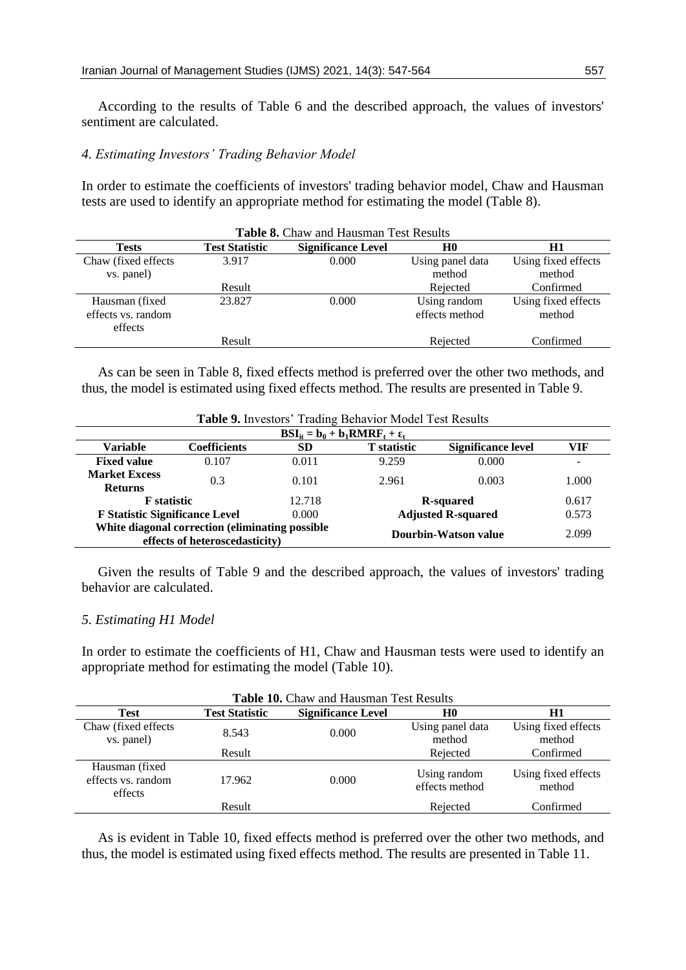According to the results of Table 6 and the described approach, the values of investors' sentiment are calculated.

## *4. Estimating Investors' Trading Behavior Model*

In order to estimate the coefficients of investors' trading behavior model, Chaw and Hausman tests are used to identify an appropriate method for estimating the model (Table 8).

| Table 8. Chaw and Hausman Test Results |                       |                           |                  |                     |  |  |
|----------------------------------------|-----------------------|---------------------------|------------------|---------------------|--|--|
| <b>Tests</b>                           | <b>Test Statistic</b> | <b>Significance Level</b> | H <sub>0</sub>   | H1                  |  |  |
| Chaw (fixed effects)                   | 3.917                 | 0.000                     | Using panel data | Using fixed effects |  |  |
| vs. panel)                             |                       |                           | method           | method              |  |  |
|                                        | Result                |                           | Rejected         | Confirmed           |  |  |
| Hausman (fixed                         | 23.827                | 0.000                     | Using random     | Using fixed effects |  |  |
| effects vs. random                     |                       |                           | effects method   | method              |  |  |
| effects                                |                       |                           |                  |                     |  |  |
|                                        | Result                |                           | Rejected         | Confirmed           |  |  |

As can be seen in Table 8, fixed effects method is preferred over the other two methods, and thus, the model is estimated using fixed effects method. The results are presented in Table 9.

| $\text{BSI}_{it} = b_0 + b_1 \text{RMRF}_t + \varepsilon_t$                       |                     |           |                           |                           |                          |  |
|-----------------------------------------------------------------------------------|---------------------|-----------|---------------------------|---------------------------|--------------------------|--|
| <b>Variable</b>                                                                   | <b>Coefficients</b> | <b>SD</b> | <b>T</b> statistic        | <b>Significance level</b> | VIF                      |  |
| <b>Fixed value</b>                                                                | 0.107               | 0.011     | 9.259                     | 0.000                     | $\overline{\phantom{a}}$ |  |
| <b>Market Excess</b><br><b>Returns</b>                                            | 0.3                 | 0.101     | 2.961                     | 0.003                     | 1.000                    |  |
| <b>F</b> statistic                                                                |                     | 12.718    | R-squared                 |                           | 0.617                    |  |
| <b>F Statistic Significance Level</b>                                             |                     | 0.000     | <b>Adjusted R-squared</b> |                           | 0.573                    |  |
| White diagonal correction (eliminating possible<br>effects of heteroscedasticity) |                     |           |                           | Dourbin-Watson value      | 2.099                    |  |

**Table 9.** Investors' Trading Behavior Model Test Results

Given the results of Table 9 and the described approach, the values of investors' trading behavior are calculated.

## *5. Estimating H1 Model*

In order to estimate the coefficients of H1, Chaw and Hausman tests were used to identify an appropriate method for estimating the model (Table 10).

| Table 10. Chaw and Hausman Test Results          |                       |                           |                                |                               |  |
|--------------------------------------------------|-----------------------|---------------------------|--------------------------------|-------------------------------|--|
| <b>Test</b>                                      | <b>Test Statistic</b> | <b>Significance Level</b> | H <sub>0</sub>                 | Н1                            |  |
| Chaw (fixed effects)<br>vs. panel)               | 8.543                 | 0.000                     | Using panel data<br>method     | Using fixed effects<br>method |  |
|                                                  | Result                |                           | Rejected                       | Confirmed                     |  |
| Hausman (fixed)<br>effects vs. random<br>effects | 17.962                | 0.000                     | Using random<br>effects method | Using fixed effects<br>method |  |
|                                                  | Result                |                           | Rejected                       | Confirmed                     |  |

As is evident in Table 10, fixed effects method is preferred over the other two methods, and thus, the model is estimated using fixed effects method. The results are presented in Table 11.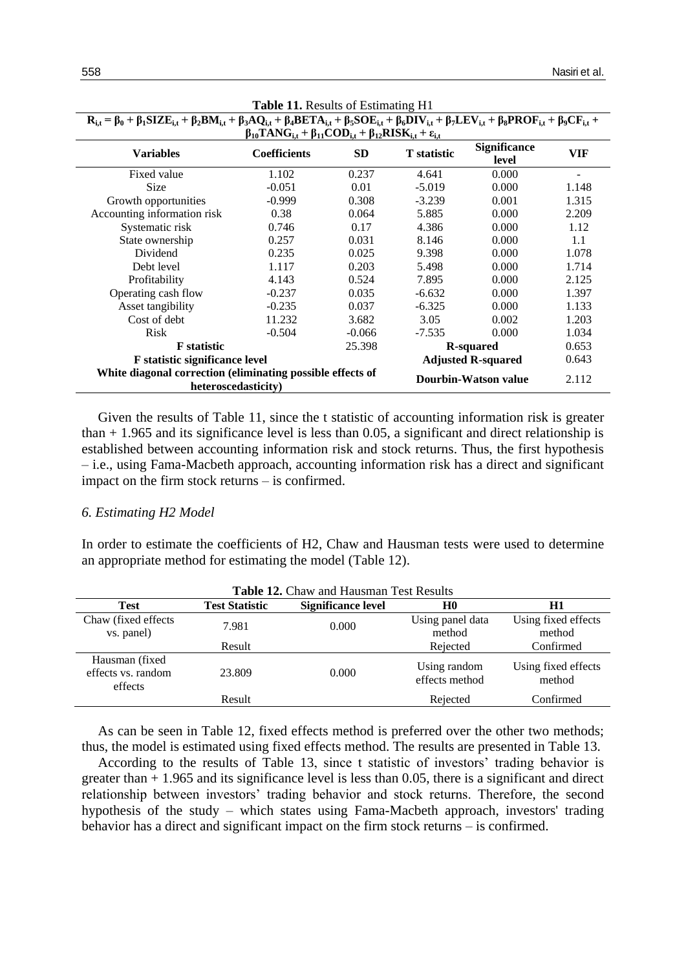| $\mathbf{R}_{i,t} = \beta_0 + \beta_1 \mathbf{S} \mathbf{I} \mathbf{Z} \mathbf{E}_{i,t} + \beta_2 \mathbf{B} \mathbf{M}_{i,t} + \beta_3 \mathbf{A} \mathbf{Q}_{i,t} + \beta_4 \mathbf{B} \mathbf{E} \mathbf{T} \mathbf{A}_{i,t} + \beta_5 \mathbf{S} \mathbf{O} \mathbf{E}_{i,t} + \beta_6 \mathbf{D} \mathbf{I} \mathbf{V}_{i,t} + \beta_7 \mathbf{L} \mathbf{E} \mathbf{V}_{i,t} + \beta_8 \mathbf{P} \mathbf{R} \mathbf{O} \math$ |                     |                             |                    |                              |       |  |  |  |
|--------------------------------------------------------------------------------------------------------------------------------------------------------------------------------------------------------------------------------------------------------------------------------------------------------------------------------------------------------------------------------------------------------------------------------------|---------------------|-----------------------------|--------------------|------------------------------|-------|--|--|--|
| $\beta_{10}$ TANG <sub>it</sub> + $\beta_{11}$ COD <sub>it</sub> + $\beta_{12}$ RISK <sub>it</sub> + $\varepsilon_{i,t}$                                                                                                                                                                                                                                                                                                             |                     |                             |                    |                              |       |  |  |  |
| <b>Variables</b>                                                                                                                                                                                                                                                                                                                                                                                                                     | <b>Coefficients</b> | <b>SD</b>                   | <b>T</b> statistic | <b>Significance</b><br>level | VIF   |  |  |  |
| Fixed value                                                                                                                                                                                                                                                                                                                                                                                                                          | 1.102               | 0.237                       | 4.641              | 0.000                        |       |  |  |  |
| <b>Size</b>                                                                                                                                                                                                                                                                                                                                                                                                                          | $-0.051$            | 0.01                        | $-5.019$           | 0.000                        | 1.148 |  |  |  |
| Growth opportunities                                                                                                                                                                                                                                                                                                                                                                                                                 | $-0.999$            | 0.308                       | $-3.239$           | 0.001                        | 1.315 |  |  |  |
| Accounting information risk                                                                                                                                                                                                                                                                                                                                                                                                          | 0.38                | 0.064                       | 5.885              | 0.000                        | 2.209 |  |  |  |
| Systematic risk                                                                                                                                                                                                                                                                                                                                                                                                                      | 0.746               | 0.17                        | 4.386              | 0.000                        | 1.12  |  |  |  |
| State ownership                                                                                                                                                                                                                                                                                                                                                                                                                      | 0.257               | 0.031                       | 8.146              | 0.000                        | 1.1   |  |  |  |
| Dividend                                                                                                                                                                                                                                                                                                                                                                                                                             | 0.235               | 0.025                       | 9.398              | 0.000                        | 1.078 |  |  |  |
| Debt level                                                                                                                                                                                                                                                                                                                                                                                                                           | 1.117               | 0.203                       | 5.498              | 0.000                        | 1.714 |  |  |  |
| Profitability                                                                                                                                                                                                                                                                                                                                                                                                                        | 4.143               | 0.524                       | 7.895              | 0.000                        | 2.125 |  |  |  |
| Operating cash flow                                                                                                                                                                                                                                                                                                                                                                                                                  | $-0.237$            | 0.035                       | $-6.632$           | 0.000                        | 1.397 |  |  |  |
| Asset tangibility                                                                                                                                                                                                                                                                                                                                                                                                                    | $-0.235$            | 0.037                       | $-6.325$           | 0.000                        | 1.133 |  |  |  |
| Cost of debt                                                                                                                                                                                                                                                                                                                                                                                                                         | 11.232              | 3.682                       | 3.05               | 0.002                        | 1.203 |  |  |  |
| <b>Risk</b>                                                                                                                                                                                                                                                                                                                                                                                                                          | $-0.504$            | $-0.066$                    | $-7.535$           | 0.000                        | 1.034 |  |  |  |
| <b>F</b> statistic<br>25.398                                                                                                                                                                                                                                                                                                                                                                                                         |                     |                             |                    | R-squared                    | 0.653 |  |  |  |
| F statistic significance level                                                                                                                                                                                                                                                                                                                                                                                                       |                     |                             |                    | <b>Adjusted R-squared</b>    | 0.643 |  |  |  |
| White diagonal correction (eliminating possible effects of<br>heteroscedasticity)                                                                                                                                                                                                                                                                                                                                                    |                     | <b>Dourbin-Watson value</b> | 2.112              |                              |       |  |  |  |

**Table 11.** Results of Estimating H1

Given the results of Table 11, since the t statistic of accounting information risk is greater than  $+1.965$  and its significance level is less than 0.05, a significant and direct relationship is established between accounting information risk and stock returns. Thus, the first hypothesis – i.e., using Fama-Macbeth approach, accounting information risk has a direct and significant impact on the firm stock returns – is confirmed.

# *6. Estimating H2 Model*

In order to estimate the coefficients of H2, Chaw and Hausman tests were used to determine an appropriate method for estimating the model (Table 12).

| Table 12. Chaw and Hausman Test Results          |                       |                           |                                |                               |
|--------------------------------------------------|-----------------------|---------------------------|--------------------------------|-------------------------------|
| <b>Test</b>                                      | <b>Test Statistic</b> | <b>Significance level</b> | H0                             | H1                            |
| Chaw (fixed effects)                             | 7.981                 | 0.000                     | Using panel data               | Using fixed effects           |
| vs. panel)                                       |                       |                           | method                         | method                        |
|                                                  | Result                |                           | Rejected                       | Confirmed                     |
| Hausman (fixed)<br>effects vs. random<br>effects | 23.809                | 0.000                     | Using random<br>effects method | Using fixed effects<br>method |
|                                                  | Result                |                           | Rejected                       | Confirmed                     |

As can be seen in Table 12, fixed effects method is preferred over the other two methods; thus, the model is estimated using fixed effects method. The results are presented in Table 13.

According to the results of Table 13, since t statistic of investors' trading behavior is greater than  $+1.965$  and its significance level is less than 0.05, there is a significant and direct relationship between investors' trading behavior and stock returns. Therefore, the second hypothesis of the study – which states using Fama-Macbeth approach, investors' trading behavior has a direct and significant impact on the firm stock returns – is confirmed.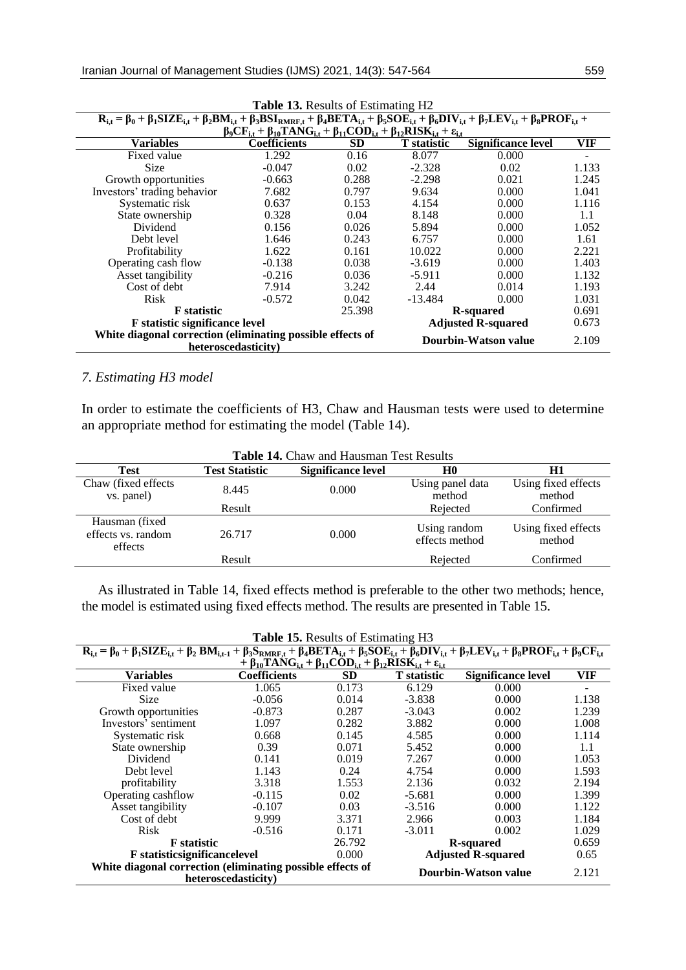| $\mathbf{R}_{i,t} = \beta_0 + \beta_1 \mathbf{S} \mathbf{I} \mathbf{Z} \mathbf{E}_{i,t} + \beta_2 \mathbf{B} \mathbf{M}_{i,t} + \beta_3 \mathbf{B} \mathbf{S} \mathbf{I}_{RMRF,t} + \beta_4 \mathbf{B} \mathbf{E} \mathbf{T} \mathbf{A}_{i,t} + \beta_5 \mathbf{S} \mathbf{O} \mathbf{E}_{i,t} + \beta_6 \mathbf{D} \mathbf{I} \mathbf{V}_{i,t} + \beta_7 \mathbf{L} \mathbf{E} \mathbf{V}_{i,t} + \beta_8 \mathbf{P} \mathbf{R} \$ |                     |           |                           |                           |       |  |
|-------------------------------------------------------------------------------------------------------------------------------------------------------------------------------------------------------------------------------------------------------------------------------------------------------------------------------------------------------------------------------------------------------------------------------------|---------------------|-----------|---------------------------|---------------------------|-------|--|
| $\beta_9CF_{i,t} + \beta_{10}TANG_{i,t} + \beta_{11}COD_{i,t} + \beta_{12}RISK_{i,t} + \varepsilon_{i,t}$                                                                                                                                                                                                                                                                                                                           |                     |           |                           |                           |       |  |
| <b>Variables</b>                                                                                                                                                                                                                                                                                                                                                                                                                    | <b>Coefficients</b> | <b>SD</b> | <b>T</b> statistic        | <b>Significance level</b> | VIF   |  |
| Fixed value                                                                                                                                                                                                                                                                                                                                                                                                                         | 1.292               | 0.16      | 8.077                     | 0.000                     |       |  |
| <b>Size</b>                                                                                                                                                                                                                                                                                                                                                                                                                         | $-0.047$            | 0.02      | $-2.328$                  | 0.02                      | 1.133 |  |
| Growth opportunities                                                                                                                                                                                                                                                                                                                                                                                                                | $-0.663$            | 0.288     | $-2.298$                  | 0.021                     | 1.245 |  |
| Investors' trading behavior                                                                                                                                                                                                                                                                                                                                                                                                         | 7.682               | 0.797     | 9.634                     | 0.000                     | 1.041 |  |
| Systematic risk                                                                                                                                                                                                                                                                                                                                                                                                                     | 0.637               | 0.153     | 4.154                     | 0.000                     | 1.116 |  |
| State ownership                                                                                                                                                                                                                                                                                                                                                                                                                     | 0.328               | 0.04      | 8.148                     | 0.000                     | 1.1   |  |
| Dividend                                                                                                                                                                                                                                                                                                                                                                                                                            | 0.156               | 0.026     | 5.894                     | 0.000                     | 1.052 |  |
| Debt level                                                                                                                                                                                                                                                                                                                                                                                                                          | 1.646               | 0.243     | 6.757                     | 0.000                     | 1.61  |  |
| Profitability                                                                                                                                                                                                                                                                                                                                                                                                                       | 1.622               | 0.161     | 10.022                    | 0.000                     | 2.221 |  |
| Operating cash flow                                                                                                                                                                                                                                                                                                                                                                                                                 | $-0.138$            | 0.038     | $-3.619$                  | 0.000                     | 1.403 |  |
| Asset tangibility                                                                                                                                                                                                                                                                                                                                                                                                                   | $-0.216$            | 0.036     | $-5.911$                  | 0.000                     | 1.132 |  |
| Cost of debt                                                                                                                                                                                                                                                                                                                                                                                                                        | 7.914               | 3.242     | 2.44                      | 0.014                     | 1.193 |  |
| <b>Risk</b>                                                                                                                                                                                                                                                                                                                                                                                                                         | $-0.572$            | 0.042     | $-13.484$                 | 0.000                     | 1.031 |  |
| <b>F</b> statistic                                                                                                                                                                                                                                                                                                                                                                                                                  |                     | 25.398    | R-squared                 |                           | 0.691 |  |
| <b>F</b> statistic significance level                                                                                                                                                                                                                                                                                                                                                                                               |                     |           | <b>Adjusted R-squared</b> |                           | 0.673 |  |
| White diagonal correction (eliminating possible effects of<br>heteroscedasticity)                                                                                                                                                                                                                                                                                                                                                   |                     |           |                           | Dourbin-Watson value      | 2.109 |  |

# *7. Estimating H3 model*

In order to estimate the coefficients of H3, Chaw and Hausman tests were used to determine an appropriate method for estimating the model (Table 14).

| Table 14. Chaw and Hausman Test Results          |                       |                           |                                |                               |  |
|--------------------------------------------------|-----------------------|---------------------------|--------------------------------|-------------------------------|--|
| Test                                             | <b>Test Statistic</b> | <b>Significance level</b> | H <sub>0</sub>                 | H1                            |  |
| Chaw (fixed effects)                             | 8.445                 | 0.000                     | Using panel data               | Using fixed effects           |  |
| vs. panel)                                       |                       |                           | method                         | method                        |  |
|                                                  | Result                |                           | Rejected                       | Confirmed                     |  |
| Hausman (fixed)<br>effects vs. random<br>effects | 26.717                | 0.000                     | Using random<br>effects method | Using fixed effects<br>method |  |
|                                                  | Result                |                           | Rejected                       | Confirmed                     |  |
|                                                  |                       |                           |                                |                               |  |

As illustrated in Table 14, fixed effects method is preferable to the other two methods; hence, the model is estimated using fixed effects method. The results are presented in Table 15.

| <b>Table 15. Results of Estimating H3</b>                                                                                                                                                                                                                                                                                                     |                                                                                                                               |           |                           |                    |       |
|-----------------------------------------------------------------------------------------------------------------------------------------------------------------------------------------------------------------------------------------------------------------------------------------------------------------------------------------------|-------------------------------------------------------------------------------------------------------------------------------|-----------|---------------------------|--------------------|-------|
| $\mathbf{R}_{i,t} = \beta_0 + \beta_1 \mathbf{S} \mathbf{I} \mathbf{Z} \mathbf{E}_{i,t} + \beta_2 \mathbf{B} \mathbf{M}_{i,t-1} + \beta_3 \mathbf{S}_{RMRF,t} + \beta_4 \mathbf{BETA}_{i,t} + \beta_5 \mathbf{SOE}_{i,t} + \beta_6 \mathbf{DIV}_{i,t} + \beta_7 \mathbf{LEV}_{i,t} + \beta_8 \mathbf{PROF}_{i,t} + \beta_9 \mathbf{CF}_{i,t}$ |                                                                                                                               |           |                           |                    |       |
|                                                                                                                                                                                                                                                                                                                                               | $+ \beta_{10}$ TANG <sub>i.t</sub> + $\beta_{11}$ COD <sub>i.t</sub> + $\beta_{12}$ RISK <sub>i.t</sub> + $\varepsilon_{i,t}$ |           |                           |                    |       |
| <b>Variables</b>                                                                                                                                                                                                                                                                                                                              | <b>Coefficients</b>                                                                                                           | <b>SD</b> | <b>T</b> statistic        | Significance level | VIF   |
| Fixed value                                                                                                                                                                                                                                                                                                                                   | 1.065                                                                                                                         | 0.173     | 6.129                     | 0.000              | ۰     |
| <b>Size</b>                                                                                                                                                                                                                                                                                                                                   | $-0.056$                                                                                                                      | 0.014     | $-3.838$                  | 0.000              | 1.138 |
| Growth opportunities                                                                                                                                                                                                                                                                                                                          | $-0.873$                                                                                                                      | 0.287     | $-3.043$                  | 0.002              | 1.239 |
| Investors' sentiment                                                                                                                                                                                                                                                                                                                          | 1.097                                                                                                                         | 0.282     | 3.882                     | 0.000              | 1.008 |
| Systematic risk                                                                                                                                                                                                                                                                                                                               | 0.668                                                                                                                         | 0.145     | 4.585                     | 0.000              | 1.114 |
| State ownership                                                                                                                                                                                                                                                                                                                               | 0.39                                                                                                                          | 0.071     | 5.452                     | 0.000              | 1.1   |
| Dividend                                                                                                                                                                                                                                                                                                                                      | 0.141                                                                                                                         | 0.019     | 7.267                     | 0.000              | 1.053 |
| Debt level                                                                                                                                                                                                                                                                                                                                    | 1.143                                                                                                                         | 0.24      | 4.754                     | 0.000              | 1.593 |
| profitability                                                                                                                                                                                                                                                                                                                                 | 3.318                                                                                                                         | 1.553     | 2.136                     | 0.032              | 2.194 |
| Operating cashflow                                                                                                                                                                                                                                                                                                                            | $-0.115$                                                                                                                      | 0.02      | $-5.681$                  | 0.000              | 1.399 |
| Asset tangibility                                                                                                                                                                                                                                                                                                                             | $-0.107$                                                                                                                      | 0.03      | $-3.516$                  | 0.000              | 1.122 |
| Cost of debt                                                                                                                                                                                                                                                                                                                                  | 9.999                                                                                                                         | 3.371     | 2.966                     | 0.003              | 1.184 |
| <b>Risk</b>                                                                                                                                                                                                                                                                                                                                   | $-0.516$                                                                                                                      | 0.171     | $-3.011$                  | 0.002              | 1.029 |
| <b>F</b> statistic                                                                                                                                                                                                                                                                                                                            |                                                                                                                               | 26.792    | R-squared                 |                    | 0.659 |
| <b>F</b> statisticsignificancelevel                                                                                                                                                                                                                                                                                                           |                                                                                                                               | 0.000     | <b>Adjusted R-squared</b> |                    | 0.65  |
| White diagonal correction (eliminating possible effects of<br>heteroscedasticity)                                                                                                                                                                                                                                                             |                                                                                                                               |           | Dourbin-Watson value      |                    | 2.121 |

**Table 13.** Results of Estimating H2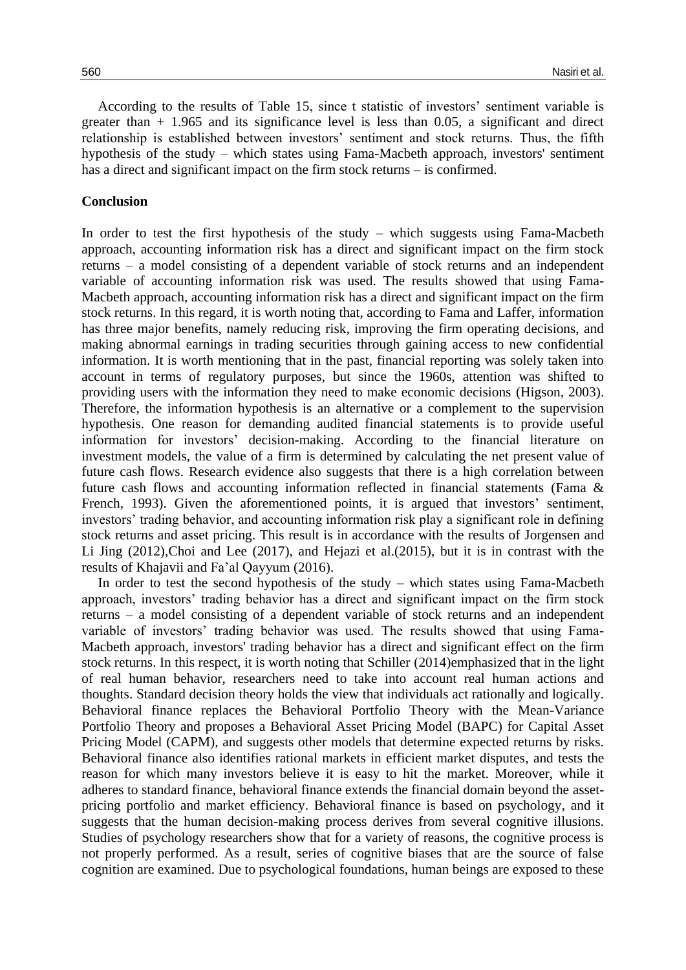According to the results of Table 15, since t statistic of investors' sentiment variable is greater than  $+ 1.965$  and its significance level is less than 0.05, a significant and direct relationship is established between investors' sentiment and stock returns. Thus, the fifth hypothesis of the study – which states using Fama-Macbeth approach, investors' sentiment has a direct and significant impact on the firm stock returns – is confirmed.

## **Conclusion**

In order to test the first hypothesis of the study – which suggests using Fama-Macbeth approach, accounting information risk has a direct and significant impact on the firm stock returns – a model consisting of a dependent variable of stock returns and an independent variable of accounting information risk was used. The results showed that using Fama-Macbeth approach, accounting information risk has a direct and significant impact on the firm stock returns. In this regard, it is worth noting that, according to Fama and Laffer, information has three major benefits, namely reducing risk, improving the firm operating decisions, and making abnormal earnings in trading securities through gaining access to new confidential information. It is worth mentioning that in the past, financial reporting was solely taken into account in terms of regulatory purposes, but since the 1960s, attention was shifted to providing users with the information they need to make economic decisions (Higson, 2003). Therefore, the information hypothesis is an alternative or a complement to the supervision hypothesis. One reason for demanding audited financial statements is to provide useful information for investors' decision-making. According to the financial literature on investment models, the value of a firm is determined by calculating the net present value of future cash flows. Research evidence also suggests that there is a high correlation between future cash flows and accounting information reflected in financial statements (Fama & French, 1993). Given the aforementioned points, it is argued that investors' sentiment, investors' trading behavior, and accounting information risk play a significant role in defining stock returns and asset pricing. This result is in accordance with the results of Jorgensen and Li Jing (2012),Choi and Lee (2017), and Hejazi et al.(2015), but it is in contrast with the results of Khajavii and Fa'al Qayyum (2016).

In order to test the second hypothesis of the study – which states using Fama-Macbeth approach, investors' trading behavior has a direct and significant impact on the firm stock returns – a model consisting of a dependent variable of stock returns and an independent variable of investors' trading behavior was used. The results showed that using Fama-Macbeth approach, investors' trading behavior has a direct and significant effect on the firm stock returns. In this respect, it is worth noting that Schiller (2014)emphasized that in the light of real human behavior, researchers need to take into account real human actions and thoughts. Standard decision theory holds the view that individuals act rationally and logically. Behavioral finance replaces the Behavioral Portfolio Theory with the Mean-Variance Portfolio Theory and proposes a Behavioral Asset Pricing Model (BAPC) for Capital Asset Pricing Model (CAPM), and suggests other models that determine expected returns by risks. Behavioral finance also identifies rational markets in efficient market disputes, and tests the reason for which many investors believe it is easy to hit the market. Moreover, while it adheres to standard finance, behavioral finance extends the financial domain beyond the assetpricing portfolio and market efficiency. Behavioral finance is based on psychology, and it suggests that the human decision-making process derives from several cognitive illusions. Studies of psychology researchers show that for a variety of reasons, the cognitive process is not properly performed. As a result, series of cognitive biases that are the source of false cognition are examined. Due to psychological foundations, human beings are exposed to these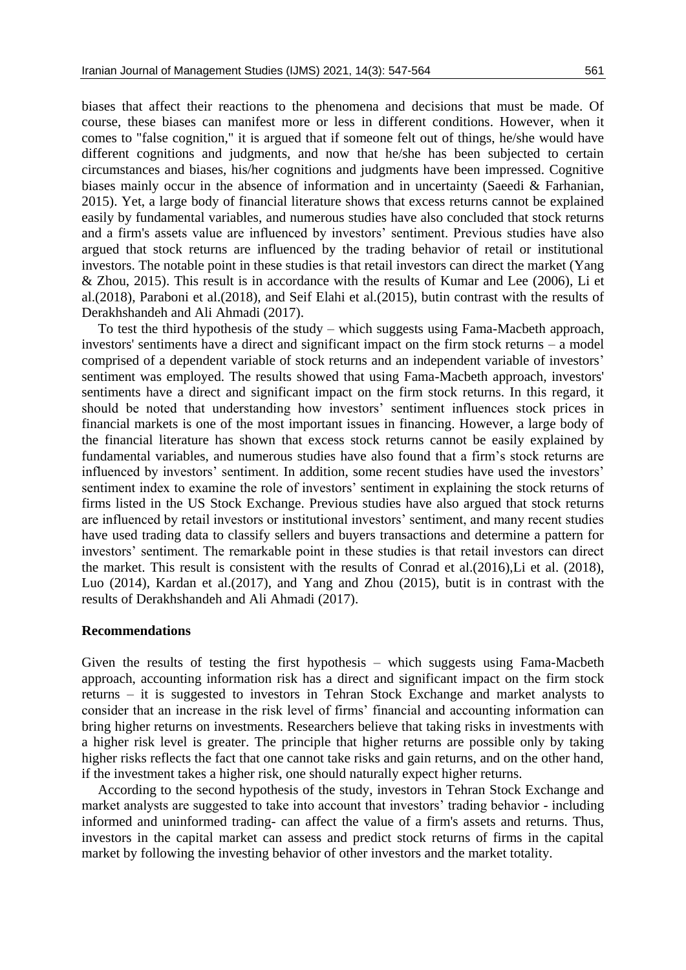biases that affect their reactions to the phenomena and decisions that must be made. Of course, these biases can manifest more or less in different conditions. However, when it comes to "false cognition," it is argued that if someone felt out of things, he/she would have different cognitions and judgments, and now that he/she has been subjected to certain circumstances and biases, his/her cognitions and judgments have been impressed. Cognitive biases mainly occur in the absence of information and in uncertainty (Saeedi & Farhanian, 2015). Yet, a large body of financial literature shows that excess returns cannot be explained easily by fundamental variables, and numerous studies have also concluded that stock returns and a firm's assets value are influenced by investors' sentiment. Previous studies have also argued that stock returns are influenced by the trading behavior of retail or institutional investors. The notable point in these studies is that retail investors can direct the market (Yang & Zhou, 2015). This result is in accordance with the results of Kumar and Lee (2006), Li et al.(2018), Paraboni et al.(2018), and Seif Elahi et al.(2015), butin contrast with the results of Derakhshandeh and Ali Ahmadi (2017).

To test the third hypothesis of the study – which suggests using Fama-Macbeth approach, investors' sentiments have a direct and significant impact on the firm stock returns – a model comprised of a dependent variable of stock returns and an independent variable of investors' sentiment was employed. The results showed that using Fama-Macbeth approach, investors' sentiments have a direct and significant impact on the firm stock returns. In this regard, it should be noted that understanding how investors' sentiment influences stock prices in financial markets is one of the most important issues in financing. However, a large body of the financial literature has shown that excess stock returns cannot be easily explained by fundamental variables, and numerous studies have also found that a firm's stock returns are influenced by investors' sentiment. In addition, some recent studies have used the investors' sentiment index to examine the role of investors' sentiment in explaining the stock returns of firms listed in the US Stock Exchange. Previous studies have also argued that stock returns are influenced by retail investors or institutional investors' sentiment, and many recent studies have used trading data to classify sellers and buyers transactions and determine a pattern for investors' sentiment. The remarkable point in these studies is that retail investors can direct the market. This result is consistent with the results of Conrad et al.(2016),Li et al. (2018), Luo (2014), Kardan et al.(2017), and Yang and Zhou (2015), butit is in contrast with the results of Derakhshandeh and Ali Ahmadi (2017).

#### **Recommendations**

Given the results of testing the first hypothesis – which suggests using Fama-Macbeth approach, accounting information risk has a direct and significant impact on the firm stock returns – it is suggested to investors in Tehran Stock Exchange and market analysts to consider that an increase in the risk level of firms' financial and accounting information can bring higher returns on investments. Researchers believe that taking risks in investments with a higher risk level is greater. The principle that higher returns are possible only by taking higher risks reflects the fact that one cannot take risks and gain returns, and on the other hand, if the investment takes a higher risk, one should naturally expect higher returns.

According to the second hypothesis of the study, investors in Tehran Stock Exchange and market analysts are suggested to take into account that investors' trading behavior - including informed and uninformed trading- can affect the value of a firm's assets and returns. Thus, investors in the capital market can assess and predict stock returns of firms in the capital market by following the investing behavior of other investors and the market totality.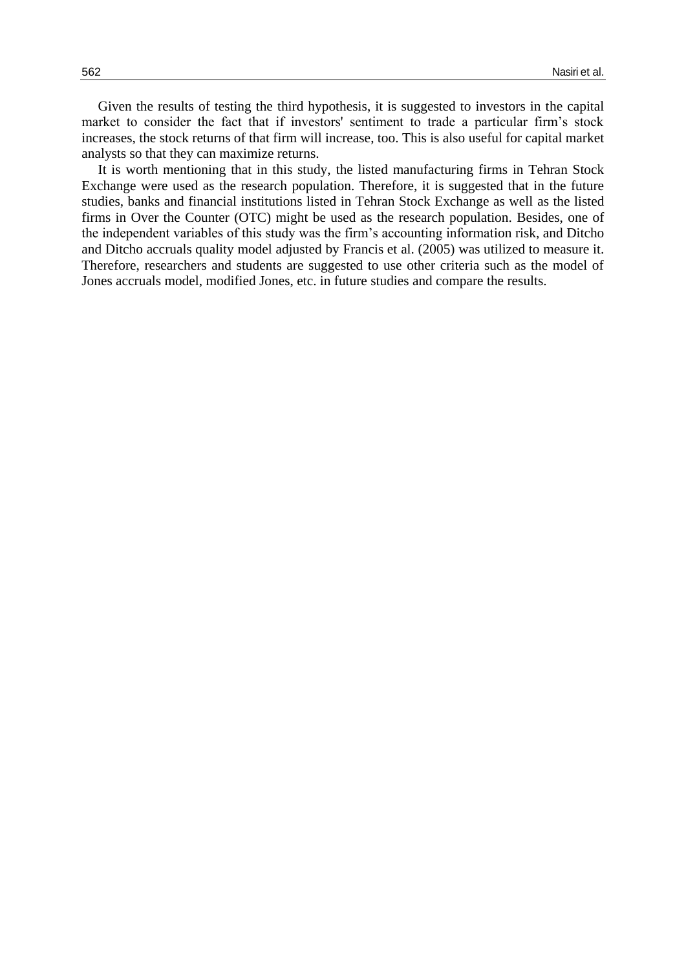Given the results of testing the third hypothesis, it is suggested to investors in the capital market to consider the fact that if investors' sentiment to trade a particular firm's stock increases, the stock returns of that firm will increase, too. This is also useful for capital market analysts so that they can maximize returns.

It is worth mentioning that in this study, the listed manufacturing firms in Tehran Stock Exchange were used as the research population. Therefore, it is suggested that in the future studies, banks and financial institutions listed in Tehran Stock Exchange as well as the listed firms in Over the Counter (OTC) might be used as the research population. Besides, one of the independent variables of this study was the firm's accounting information risk, and Ditcho and Ditcho accruals quality model adjusted by Francis et al. (2005) was utilized to measure it. Therefore, researchers and students are suggested to use other criteria such as the model of Jones accruals model, modified Jones, etc. in future studies and compare the results.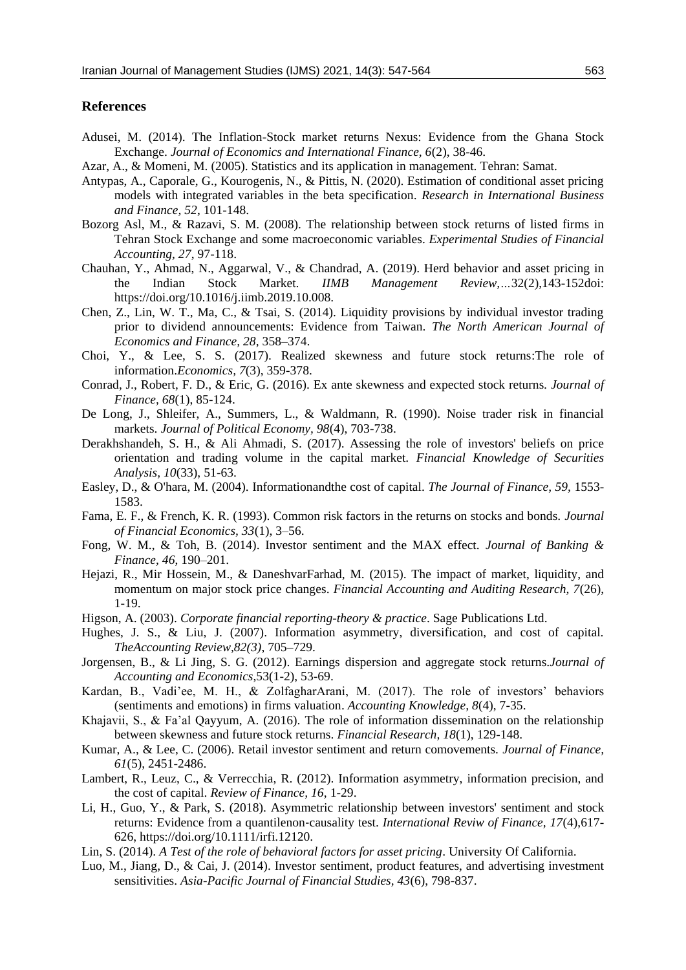#### **References**

- Adusei, M. (2014). The Inflation-Stock market returns Nexus: Evidence from the Ghana Stock Exchange. *Journal of Economics and International Finance, 6*(2), 38-46.
- Azar, A., & Momeni, M. (2005). Statistics and its application in management. Tehran: Samat.
- Antypas, A., Caporale, G., Kourogenis, N., & Pittis, N. (2020). Estimation of conditional asset pricing models with integrated variables in the beta specification. *Research in International Business and Finance, 52*, 101-148.
- Bozorg Asl, M., & Razavi, S. M. (2008). The relationship between stock returns of listed firms in Tehran Stock Exchange and some macroeconomic variables. *Experimental Studies of Financial Accounting, 27*, 97-118.
- Chauhan, Y., Ahmad, N., Aggarwal, V., & Chandrad, A. (2019). Herd behavior and asset pricing in the Indian Stock Market. *IIMB Management Review,…*32(2),143-152doi: https://doi.org/10.1016/j.iimb.2019.10.008.
- Chen, Z., Lin, W. T., Ma, C., & Tsai, S. (2014). Liquidity provisions by individual investor trading prior to dividend announcements: Evidence from Taiwan. *The North American Journal of Economics and Finance, 28*, 358–374.
- Choi, Y., & Lee, S. S. (2017). Realized skewness and future stock returns:The role of information.*Economics, 7*(3), 359-378.
- Conrad, J., Robert, F. D., & Eric, G. (2016). Ex ante skewness and expected stock returns*. Journal of Finance, 68*(1), 85-124.
- De Long, J., Shleifer, A., Summers, L., & Waldmann, R. (1990). Noise trader risk in financial markets. *Journal of Political Economy, 98*(4), 703-738.
- Derakhshandeh, S. H., & Ali Ahmadi, S. (2017). Assessing the role of investors' beliefs on price orientation and trading volume in the capital market. *Financial Knowledge of Securities Analysis, 10*(33), 51-63.
- Easley, D., & O'hara, M. (2004). Informationandthe cost of capital. *The Journal of Finance, 59,* 1553- 1583.
- Fama, E. F., & French, K. R. (1993). Common risk factors in the returns on stocks and bonds. *Journal of Financial Economics, 33*(1), 3–56.
- Fong, W. M., & Toh, B. (2014). Investor sentiment and the MAX effect. *Journal of Banking & Finance, 46*, 190–201.
- Hejazi, R., Mir Hossein, M., & DaneshvarFarhad, M. (2015). The impact of market, liquidity, and momentum on major stock price changes. *Financial Accounting and Auditing Research, 7*(26), 1-19.
- Higson, A. (2003). *Corporate financial reporting-theory & practice*. Sage Publications Ltd.
- Hughes, J. S., & Liu, J. (2007). Information asymmetry, diversification, and cost of capital. *TheAccounting Review,82(3)*, 705–729.
- Jorgensen, B., & Li Jing, S. G. (2012). Earnings dispersion and aggregate stock returns.*Journal of Accounting and Economics*,53(1-2), 53-69.
- Kardan, B., Vadi'ee, M. H., & ZolfagharArani, M. (2017). The role of investors' behaviors (sentiments and emotions) in firms valuation. *Accounting Knowledge, 8*(4), 7-35.
- Khajavii, S., & Fa'al Qayyum, A. (2016). The role of information dissemination on the relationship between skewness and future stock returns. *Financial Research, 18*(1), 129-148.
- Kumar, A., & Lee, C. (2006). Retail investor sentiment and return comovements. *Journal of Finance, 61*(5), 2451-2486.
- Lambert, R., Leuz, C., & Verrecchia, R. (2012). Information asymmetry, information precision, and the cost of capital. *Review of Finance, 16*, 1-29.
- Li, H., Guo, Y., & Park, S. (2018). Asymmetric relationship between investors' sentiment and stock returns: Evidence from a quantilenon-causality test. *International Reviw of Finance, 17*(4),617-626, https://doi.org/10.1111/irfi.12120.
- Lin, S. (2014). *A Test of the role of behavioral factors for asset pricing*. University Of California.
- Luo, M., Jiang, D., & Cai, J. (2014). Investor sentiment, product features, and advertising investment sensitivities. *Asia-Pacific Journal of Financial Studies, 43*(6), 798-837.